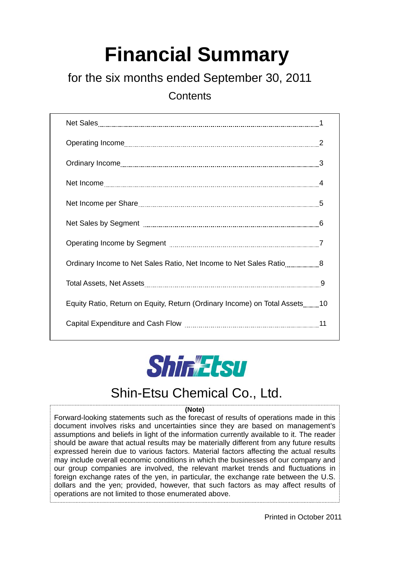# **Financial Summary**

# for the six months ended September 30, 2011

**Contents** 

| Ordinary Income to Net Sales Ratio, Net Income to Net Sales Ratio8         |
|----------------------------------------------------------------------------|
|                                                                            |
| Equity Ratio, Return on Equity, Return (Ordinary Income) on Total Assets10 |
|                                                                            |



# Shin-Etsu Chemical Co., Ltd.

#### **(Note)**

Forward-looking statements such as the forecast of results of operations made in this document involves risks and uncertainties since they are based on management's assumptions and beliefs in light of the information currently available to it. The reader should be aware that actual results may be materially different from any future results expressed herein due to various factors. Material factors affecting the actual results may include overall economic conditions in which the businesses of our company and our group companies are involved, the relevant market trends and fluctuations in foreign exchange rates of the yen, in particular, the exchange rate between the U.S. dollars and the yen; provided, however, that such factors as may affect results of operations are not limited to those enumerated above.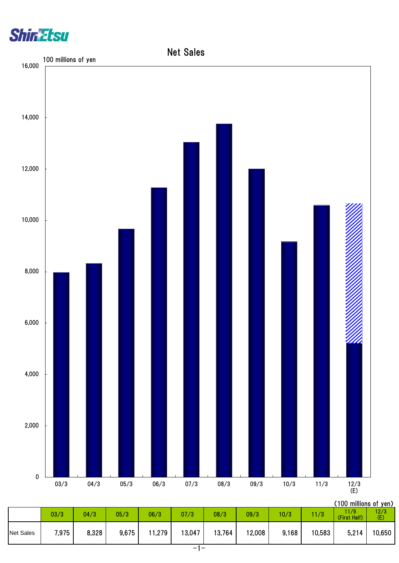



|                  |       |       |       |       |        |        |        |       |        | ( I UV TIIIIIIUIIS UL YUII <i>)</i> |             |
|------------------|-------|-------|-------|-------|--------|--------|--------|-------|--------|-------------------------------------|-------------|
|                  | 03/3  | 04/3  | 05/3  | 06/3  | 07/3   | 08/3   | 09/3   | 10/3  | 11/3   | 11/9<br>(First Half)                | 12/3<br>(E) |
| <b>Net Sales</b> | 7,975 | 8,328 | 9,675 | 1,279 | 13,047 | 13,764 | 12,008 | 9,168 | 10,583 | 5,214                               | 10,650      |
|                  |       |       |       |       |        |        |        |       |        |                                     |             |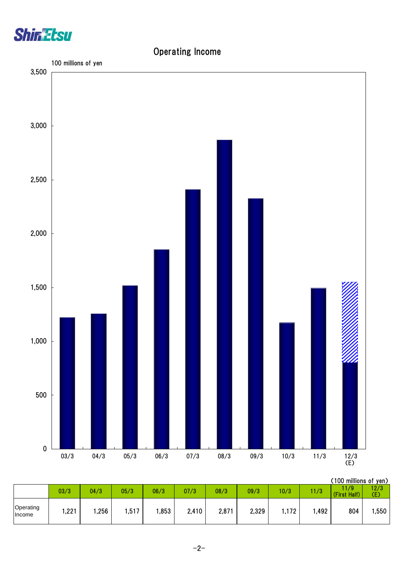

## Operating Income



(100 millions of yen)

|                     | 03/3 | 04/3 | 05/3  | 06/3 | 07/3  | 08/3  | 09/3  | 10/3  | 11/3 | <br>11/9<br>Half)<br>(First) | 12/3<br>Œ. |
|---------------------|------|------|-------|------|-------|-------|-------|-------|------|------------------------------|------------|
| Operating<br>Income | ,221 | ,256 | , 517 | ,853 | 2,410 | 2,871 | 2,329 | 1,172 | ,492 | 804                          | ,550       |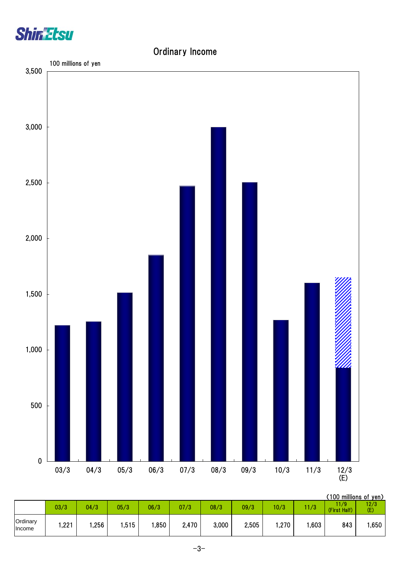

## Ordinary Income



|                    |      |      |       |      |       |       |       |      |      | (100 millions of yen) |             |
|--------------------|------|------|-------|------|-------|-------|-------|------|------|-----------------------|-------------|
|                    | 03/3 | 04/3 | 05/3  | 06/3 | 07/3  | 08/3  | 09/3  | 10/3 | 1/3  | 11/9<br>(First Half)  | 12/3<br>(E) |
| Ordinary<br>Income | ,221 | ,256 | .515, | ,850 | 2,470 | 3,000 | 2,505 | ,270 | ,603 | 843                   | ,650        |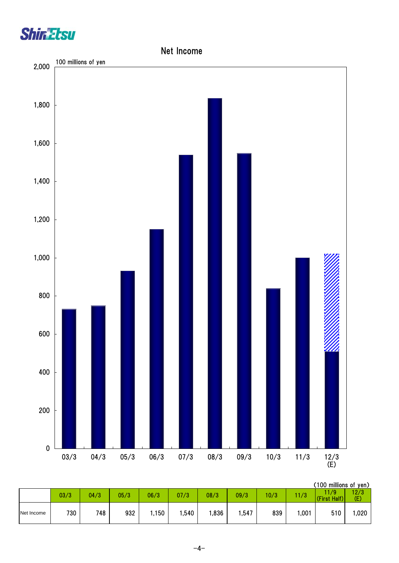



|            |      |      |      |      |      |      |       |      |      | (100 millions of yen) |             |
|------------|------|------|------|------|------|------|-------|------|------|-----------------------|-------------|
|            | 03/3 | 04/3 | 05/3 | 06/3 | 07/3 | 08/3 | 09/3  | 10/3 | 11/3 | 1/9<br>(First Half)   | 12/3<br>(E) |
| Net Income | 730  | 748  | 932  | ,150 | ,540 | ,836 | 547،، | 839  | ,001 | 510                   | ,020        |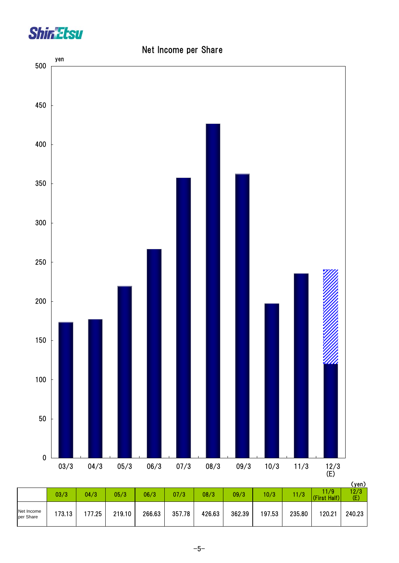

#### Net Income per Share

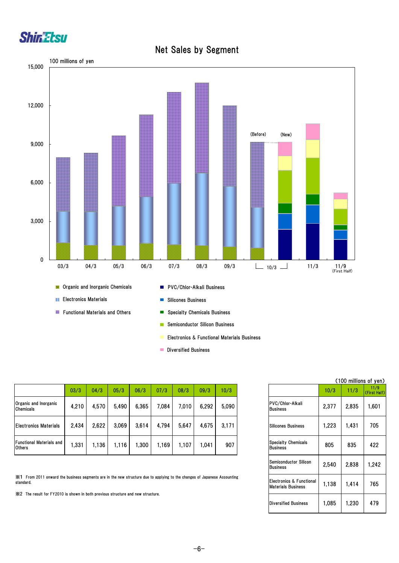

#### Net Sales by Segment



- Electronics & Functional Materials Business
- **Diversified Business**

|                                                  | 03/3  | 04/3  | 05/3  | 06/3  | 07/3  | 08/3  | 09/3  | 10/3  |                                        | 10/3  | 1/3   | 11/9<br><b>CFirst H</b> |
|--------------------------------------------------|-------|-------|-------|-------|-------|-------|-------|-------|----------------------------------------|-------|-------|-------------------------|
| Organic and Inorganic<br>Chemicals               | 4.210 | 4,570 | 5,490 | 6,365 | 7,084 | 7,010 | 6,292 | 5,090 | PVC/Chlor-Alkali<br>Business           | 2,377 | 2,835 | 1,60                    |
| <b>Electronics Materials</b>                     | 2,434 | 2.622 | 3.069 | 3,614 | 4,794 | 5,647 | 4,675 | 3.171 | <b>ISilicones Business</b>             | .223  | ,431  | 705                     |
| <b>Functional Materials and</b><br><b>Others</b> | 331   | 1.136 | 1.116 | .300  | .169  | 1.107 | .041  | 907   | <b>Specialty Chemicals</b><br>Business | 805   | 835   | 422                     |

※1 From 2011 onward the business segments are in the new structure due to applying to the changes of Japanese Accounting standard.

※2 The result for FY2010 is shown in both previous structure and new structure.

|                                                       |       | (100 millions of yen) |                      |
|-------------------------------------------------------|-------|-----------------------|----------------------|
|                                                       | 10/3  | 11/3                  | 11/9<br>(First Half) |
| PVC/Chlor-Alkali<br><b>Business</b>                   | 2,377 | 2,835                 | 1,601                |
| <b>Silicones Business</b>                             | 1,223 | 1,431                 | 705                  |
| <b>Specialty Chemicals</b><br><b>Business</b>         | 805   | 835                   | 422                  |
| <b>Semiconductor Silicon</b><br><b>Business</b>       | 2.540 | 2.838                 | 1.242                |
| Electronics & Functional<br><b>Materials Business</b> | 1,138 | 1.414                 | 765                  |
| <b>Diversified Business</b>                           | 1,085 | 1,230                 | 479                  |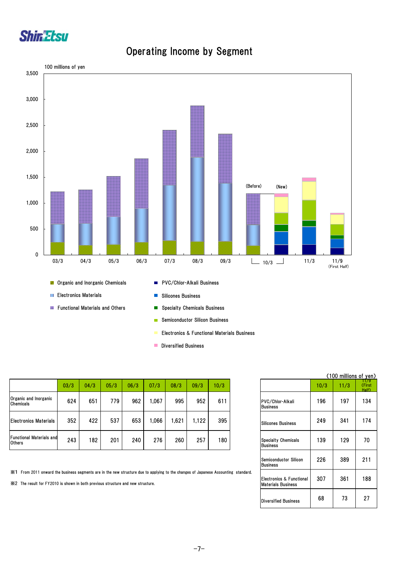

## Operating Income by Segment



- Electronics & Functional Materials Business
- **Diversified Business**

|                                                  | 03/3 | 04/3 | 05/3 | 06/3 | 07/3 | 08/3  | 09/3  | 10/3 |
|--------------------------------------------------|------|------|------|------|------|-------|-------|------|
| Organic and Inorganic<br><b>Chemicals</b>        | 624  | 651  | 779  | 962  | .067 | 995   | 952   | 611  |
| <b>Electronics Materials</b>                     | 352  | 422  | 537  | 653  | 066  | 621.، | 1.122 | 395  |
| <b>Functional Materials and</b><br><b>Others</b> | 243  | 182  | 201  | 240  | 276  | 260   | 257   | 180  |

※1 From 2011 onward the business segments are in the new structure due to applying to the changes of Japanese Accounting standard.

※2 The result for FY2010 is shown in both previous structure and new structure.

|                                                       |      | (100 mi <u>llions of yen)</u> |                        |
|-------------------------------------------------------|------|-------------------------------|------------------------|
|                                                       | 10/3 | 11/3                          | 179<br>(First<br>Half) |
| PVC/Chlor-Alkali<br><b>Business</b>                   | 196  | 197                           | 134                    |
| <b>Silicones Business</b>                             | 249  | 341                           | 174                    |
| <b>Specialty Chemicals</b><br><b>Business</b>         | 139  | 129                           | 70                     |
| <b>Semiconductor Silicon</b><br>Business              | 226  | 389                           | 211                    |
| Electronics & Functional<br><b>Materials Business</b> | 307  | 361                           | 188                    |
| <b>Diversified Business</b>                           | 68   | 73                            | 27                     |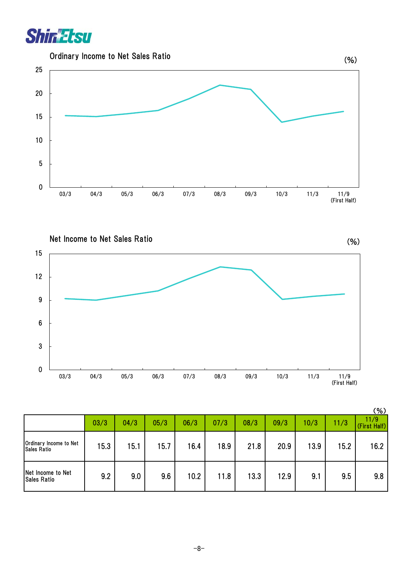

Ordinary Income to Net Sales Ratio



Net Income to Net Sales Ratio

0 3 6 9 12 15 03/3 04/3 05/3 06/3 07/3 08/3 09/3 10/3 11/3 11/9 (First Half)

|                                              |      |      |      |      |      |      |      |      |      | ( 70 )               |
|----------------------------------------------|------|------|------|------|------|------|------|------|------|----------------------|
|                                              | 03/3 | 04/3 | 05/3 | 06/3 | 07/3 | 08/3 | 09/3 | 10/3 | 11/3 | 11/9<br>(First Half) |
| Ordinary Income to Net<br><b>Sales Ratio</b> | 15.3 | 15.1 | 15.7 | 16.4 | 18.9 | 21.8 | 20.9 | 13.9 | 15.2 | 16.2                 |
| Net Income to Net<br><b>Sales Ratio</b>      | 9.2  | 9.0  | 9.6  | 10.2 | 11.8 | 13.3 | 12.9 | 9.1  | 9.5  | 9.8                  |

 $(8)$ 

(%)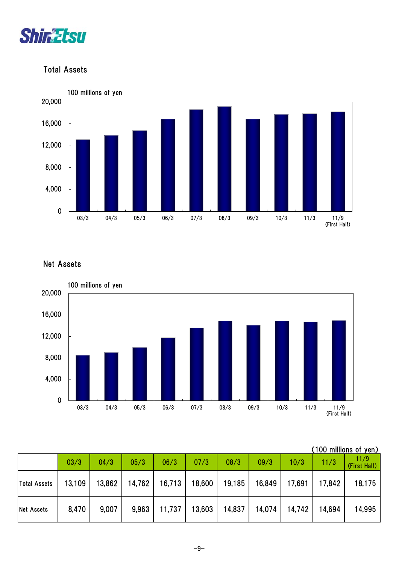

#### Total Assets



#### Net Assets



| (100 millions of yen) |  |
|-----------------------|--|
|                       |  |

|                     | 03/3   | 04/3   | 05/3   | 06/3   | 07/3 | 08/3          | 09/3                     | 10/3   | 11/3   | 11/9<br>(First Half) |
|---------------------|--------|--------|--------|--------|------|---------------|--------------------------|--------|--------|----------------------|
| <b>Total Assets</b> | 13,109 | 13,862 | 14,762 | 16,713 |      |               | 18,600   19,185   16,849 | 17,691 | 17,842 | 18,175               |
| <b>Net Assets</b>   | 8,470  | 9,007  | 9,963  | 11,737 |      | 13,603 14,837 | 14,074                   | 14,742 | 14,694 | 14,995               |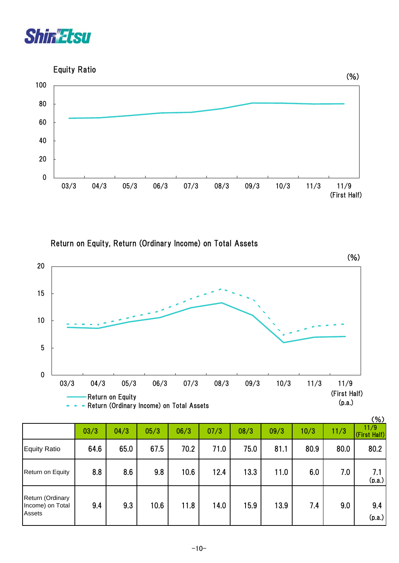

Equity Ratio



Return on Equity, Return (Ordinary Income) on Total Assets



|                                                |      |      |      |      |      |      |      |      |      | <b>101</b>           |
|------------------------------------------------|------|------|------|------|------|------|------|------|------|----------------------|
|                                                | 03/3 | 04/3 | 05/3 | 06/3 | 07/3 | 08/3 | 09/3 | 10/3 | 11/3 | 11/9<br>(First Half) |
| <b>Equity Ratio</b>                            | 64.6 | 65.0 | 67.5 | 70.2 | 71.0 | 75.0 | 81.1 | 80.9 | 80.0 | 80.2                 |
| Return on Equity                               | 8.8  | 8.6  | 9.8  | 10.6 | 12.4 | 13.3 | 11.0 | 6.0  | 7.0  | 7.1<br>(p.a.)        |
| Return (Ordinary<br>Income) on Total<br>Assets | 9.4  | 9.3  | 10.6 | 11.8 | 14.0 | 15.9 | 13.9 | 7.4  | 9.0  | 9.4<br>(p.a.)        |